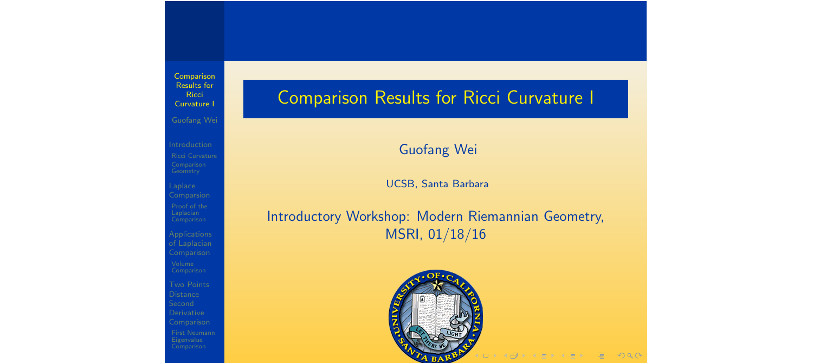Laplace

of Laplacian Comparison

Derivative Comparison

# Comparison Results for Ricci Curvature I

Guofang Wei

UCSB, Santa Barbara

Introductory Workshop: Modern Riemannian Geometry, MSRI, 01/18/16

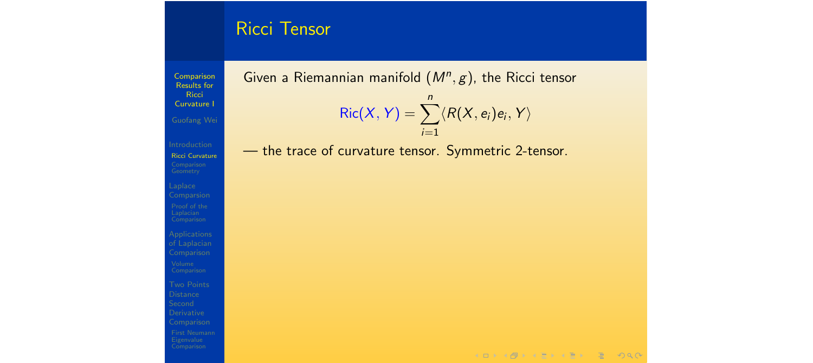#### Ricci Tensor

Comparison Results for **Ricci** Curvature I

Ricci Curvature

Comparsion

of Laplacian Comparison

**Distance** Derivative Comparison

Given a Riemannian manifold (*Mn, g*), the Ricci tensor  $Ric(X, Y) = \sum_{n=0}^{n}$  $\langle R(X, e_i)e_i, Y \rangle$ 

*i*=1

— the trace of curvature tensor. Symmetric 2-tensor.

 $A \cup B \cup A \cup B \cup A \cup B \cup A \cup B \cup B \cup B \cup A \cup B$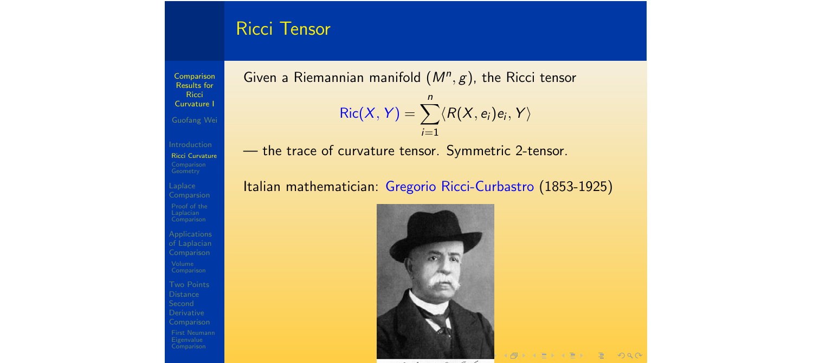#### Ricci Tensor

**Comparison** Results for **Ricci** Curvature I

Ricci Curvature

Laplace

of Laplacian Comparison **Distance** Derivative Comparison Given a Riemannian manifold (*Mn, g*), the Ricci tensor  $Ric(X, Y) = \sum_{n=0}^{n}$ *i*=1  $\langle R(X, e_i)e_i, Y \rangle$ 

— the trace of curvature tensor. Symmetric 2-tensor.

Italian mathematician: Gregorio Ricci-Curbastro (1853-1925)



 $AP + 12 + 12 + 22$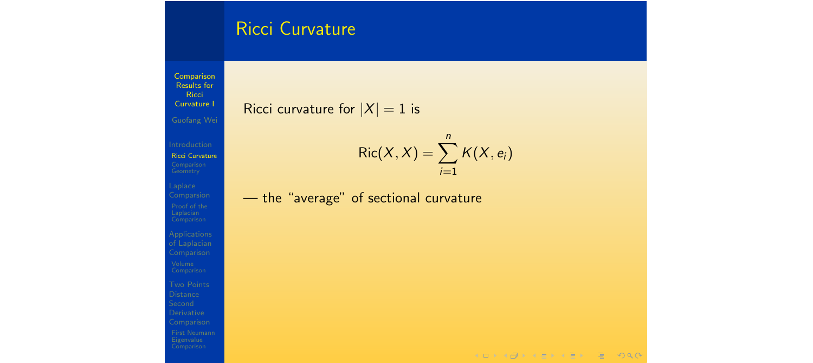### Ricci Curvature

**Comparison** Results for Ricci Curvature I

Ricci Curvature

Laplace Comparsion

of Laplacian Comparison Comparison

Ricci curvature for  $|X| = 1$  is

$$
Ric(X,X)=\sum_{i=1}^n K(X,e_i)
$$

— the "average" of sectional curvature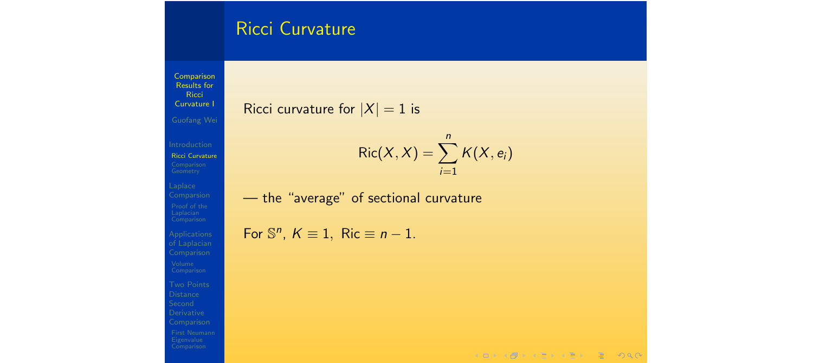### Ricci Curvature

Comparison Results for Ricci Curvature I

#### Ricci curvature for  $|X| = 1$  is

Ricci Curvature

Laplace Comparsion of Laplacian Comparison Comparison

$$
\text{Ric}(X,X)=\sum_{i=1}^n K(X,e_i)
$$

— the "average" of sectional curvature

For  $\mathbb{S}^n$ ,  $K \equiv 1$ , Ric  $\equiv n-1$ .

 $A \cap B \rightarrow A \cap B \rightarrow A \cap B \rightarrow A \cap B \rightarrow A \cap B$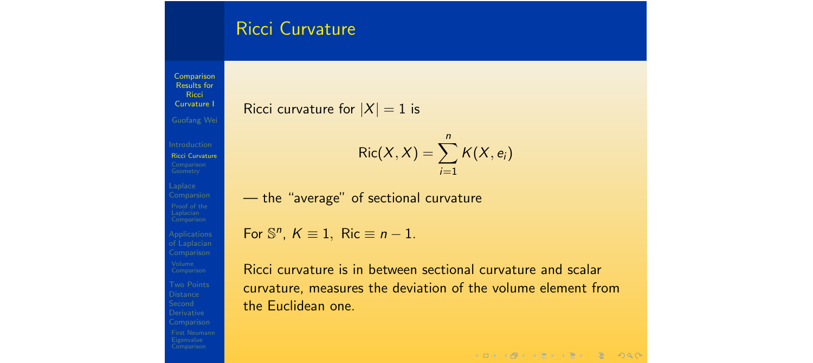#### Ricci Curvature

Results for **Ricci** Curvature I Guofang Wei Ricci Curvature Laplace Comparison **Distance** Derivative

Comparison

Ricci curvature for  $|X| = 1$  is

$$
Ric(X,X)=\sum_{i=1}^n K(X,e_i)
$$

— the "average" of sectional curvature

For  $\mathbb{S}^n$ ,  $K \equiv 1$ , Ric  $\equiv n-1$ .

Ricci curvature is in between sectional curvature and scalar curvature, measures the deviation of the volume element from the Euclidean one.

 $A \Box B + A \Box B + A \Box B + A \Box B + A \Box B + A \Box B$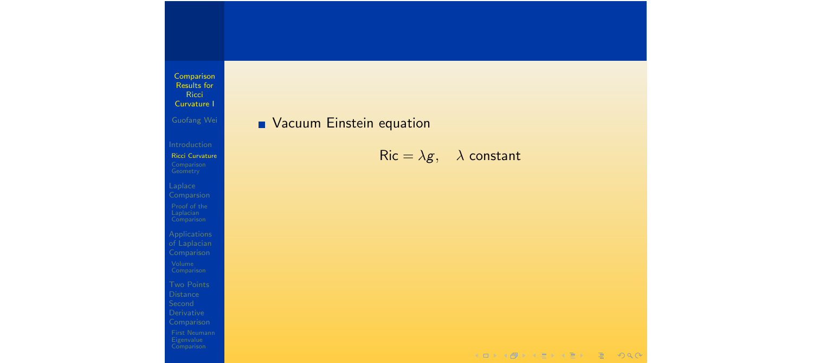#### **Nacuum Einstein equation**

Ricci Curvature

of Laplacian

 $Ric = \lambda g$ ,  $\lambda$  constant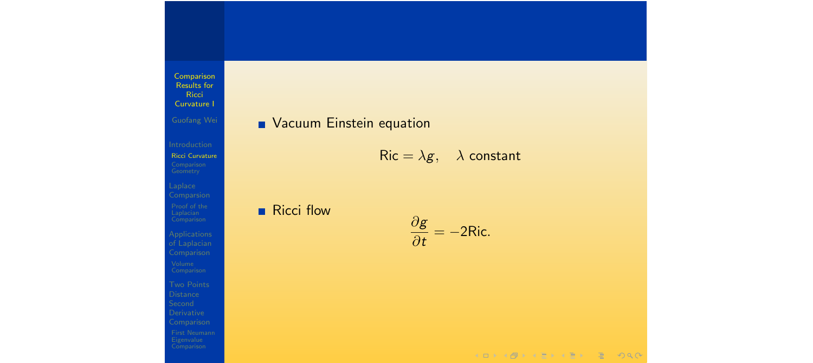#### **Nacuum Einstein equation**

Ricci Curvature

Laplace Comparsion

of Laplacian

#### $Ric = \lambda g$ ,  $\lambda$  constant

Ricci flow

$$
\frac{\partial g}{\partial t} = -2Ric.
$$

KOKK@KKEKKEK E DAQ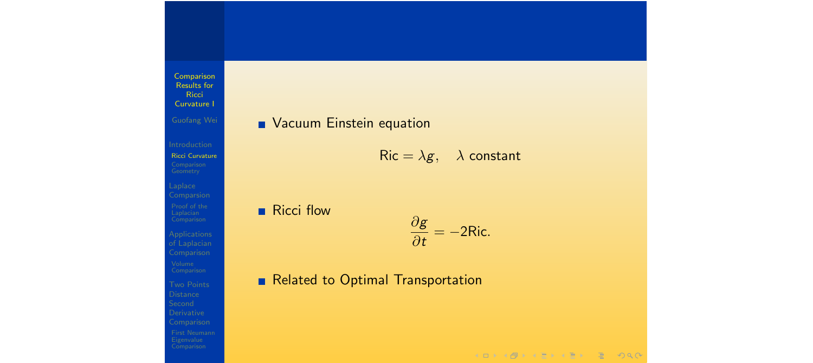# Ricci Curvature

Laplace Comparsion

of Laplacian Comparison Comparison

Comparison

#### **NACULA PROPERTIES IN EXECUTER**

 $Ric = \lambda g$ ,  $\lambda$  constant

#### Ricci flow

$$
\frac{\partial g}{\partial t} = -2Ric.
$$

#### Related to Optimal Transportation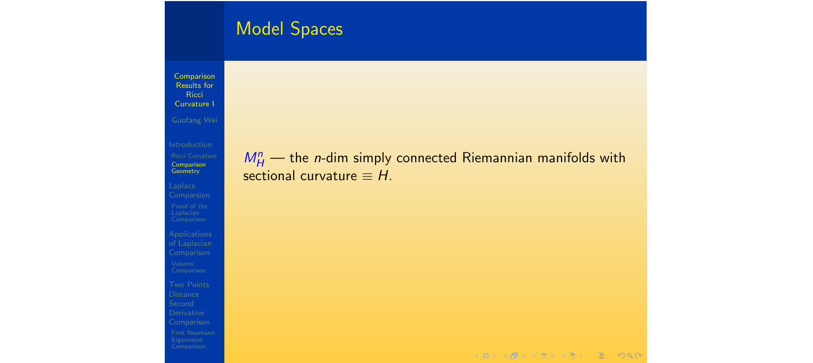# Model Spaces

Comparison Results for **Ricci** Curvature I

Comparison Geometry

Laplace Comparsion

of Laplacian Comparison Comparison

 $M_H^n$  — the *n*-dim simply connected Riemannian manifolds with sectional curvature  $\equiv H$ .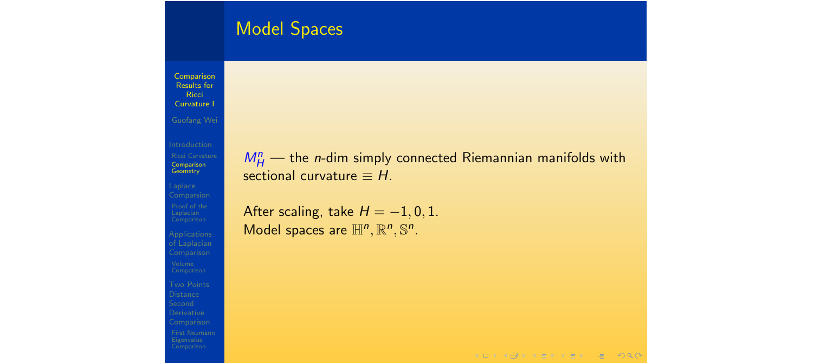# Model Spaces

Comparison Results for **Ricci** Curvature I

Comparison Geometry

Laplace Comparsion of Laplacian Comparison Comparison

 $M_H^n$  — the *n*-dim simply connected Riemannian manifolds with sectional curvature  $\equiv H$ .

After scaling, take  $H = -1, 0, 1$ . Model spaces are  $\mathbb{H}^n$ ,  $\mathbb{R}^n$ ,  $\mathbb{S}^n$ .

 $A \Box B + A \Box B + A \Box B + A \Box B + A \Box B + A \Box B$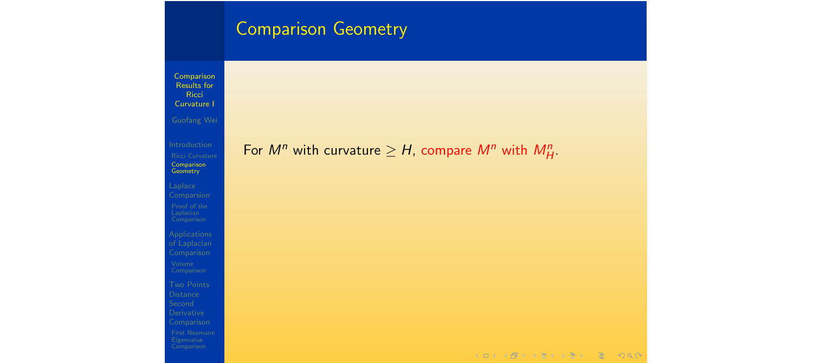### Comparison Geometry

Comparison Results for **Ricci** Curvature I

Comparison Geometry

Laplace Comparsion

of Laplacian Comparison

Comparison

# For  $M^n$  with curvature  $\geq H$ , compare  $M^n$  with  $M^n_H$ .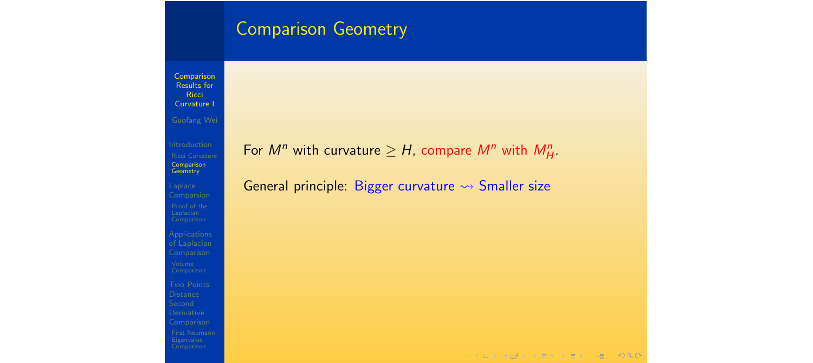#### Comparison Geometry

Comparison Results for **Ricci** Curvature I

Comparison Geometry

Laplace Comparsion

of Laplacian Comparison Comparison

For  $M^n$  with curvature  $\geq H$ , compare  $M^n$  with  $M^n_H$ .

General principle: Bigger curvature  $\rightsquigarrow$  Smaller size

 $A \Box B = 4 \Box B + 4 \Box B + 4 \Box B + 4 \Box B + 4 \Box C$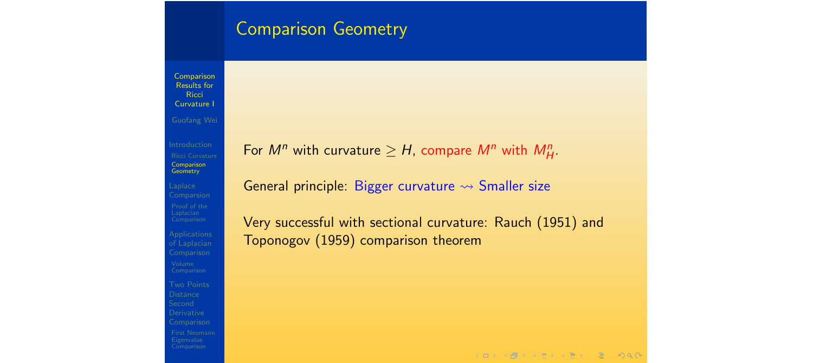#### **Comparison Geometry**

**Comparison** Results for **Ricci** Curvature I Guofang Wei

Comparison **Geometry** 

Laplace Comparsion of Laplacian Comparison **Distance** Derivative Comparison For  $M^n$  with curvature  $\geq H$ , compare  $M^n$  with  $M^n_H$ .

General principle: Bigger curvature  $\rightsquigarrow$  Smaller size

Very successful with sectional curvature: Rauch (1951) and Toponogov (1959) comparison theorem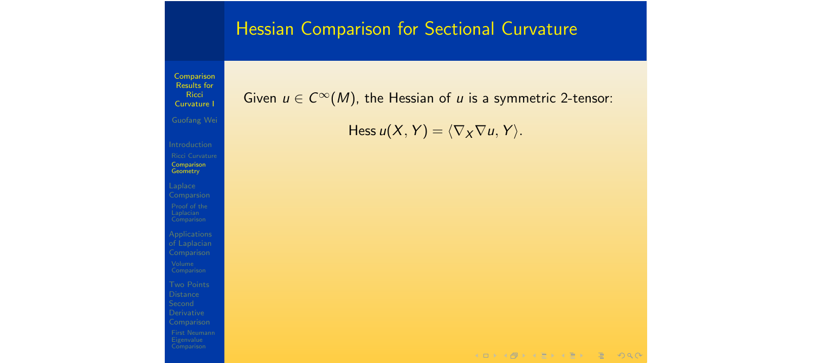# Hessian Comparison for Sectional Curvature

Comparison Results for **Ricci** Curvature I Comparison **Geometry** Laplace of Laplacian Comparison **Distance** Derivative Comparison

Given  $u \in C^{\infty}(M)$ , the Hessian of *u* is a symmetric 2-tensor:

Hess  $u(X, Y) = \langle \nabla_X \nabla u, Y \rangle$ .

KOKK@KKEKKEK E DAG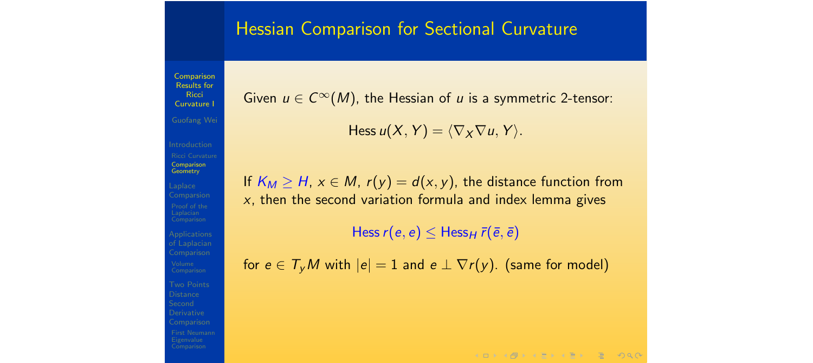#### Hessian Comparison for Sectional Curvature

Results for **Ricci** Curvature I Guofang Wei

Comparison

Comparison Geometry

Applications **Distance** 

Given  $u \in C^{\infty}(M)$ , the Hessian of *u* is a symmetric 2-tensor:

Hess  $u(X, Y) = \langle \nabla_X \nabla u, Y \rangle$ .

If  $K_M \geq H$ ,  $x \in M$ ,  $r(y) = d(x, y)$ , the distance function from *x*, then the second variation formula and index lemma gives

 $Hess r(e, e) \leq Hess_{H} \bar{r}(\bar{e}, \bar{e})$ 

for  $e \in T_v M$  with  $|e| = 1$  and  $e \perp \nabla r(v)$ . (same for model)

 $A \Box B + A \Box B + A \Box B + A \Box B + A \Box B + A \Box B$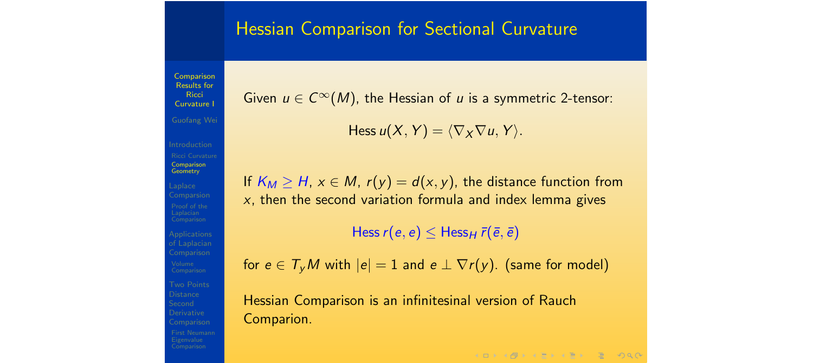### Hessian Comparison for Sectional Curvature

Results for **Ricci** Curvature I Guofang Wei Comparison Geometry

Comparison

Given  $u \in C^{\infty}(M)$ , the Hessian of *u* is a symmetric 2-tensor:

Hess  $u(X, Y) = \langle \nabla_X \nabla u, Y \rangle$ .

If  $K_M \geq H$ ,  $x \in M$ ,  $r(y) = d(x, y)$ , the distance function from *x*, then the second variation formula and index lemma gives

 $Hess r(e, e) \leq Hess_H \overline{r}(\overline{e}, \overline{e})$ 

for  $e \in T_v M$  with  $|e| = 1$  and  $e \perp \nabla r(v)$ . (same for model)

Hessian Comparison is an infinitesinal version of Rauch Comparion.

**KORKAPRA ERA ER SO AO**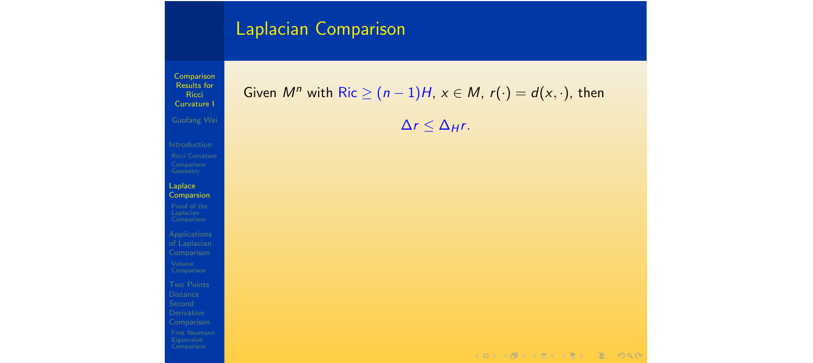Results for Ricci Curvature I Laplace **Comparsion** of Laplacian Comparison Comparison Comparison

Comparison

#### Given  $M^n$  with  $Ric \ge (n-1)H$ ,  $x \in M$ ,  $r(\cdot) = d(x, \cdot)$ , then

 $\Delta r \leq \Delta_H r$ .

 $A \Box B = 4 \Box B + 4 \Box B + 4 \Box B + 4 \Box B + 4 \Box C$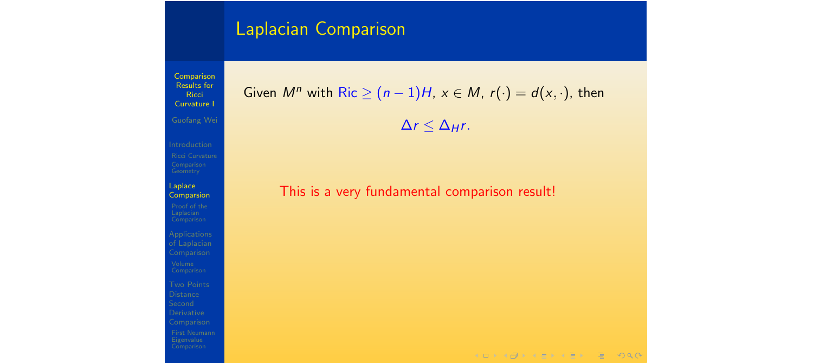Results for **Ricci** Curvature I Laplace Comparsion of Laplacian Comparison Comparison

Comparison

Given  $M^n$  with Ric  $\geq (n-1)H$ ,  $x \in M$ ,  $r(\cdot) = d(x, \cdot)$ , then

 $\Delta r \leq \Delta_H r$ .

This is a very fundamental comparison result!

 $A \Box B + A \Box B + A \Box B + A \Box B + A \Box B + A \Box B$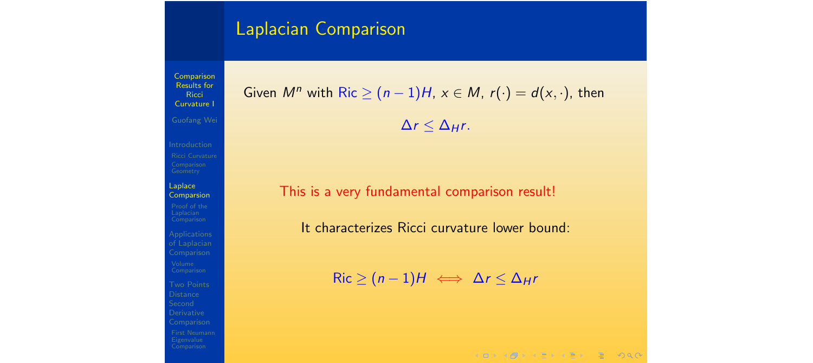Comparison Results for **Ricci** Curvature I Laplace Comparsion of Laplacian Comparison Derivative Comparison

Given 
$$
M^n
$$
 with Ric  $\geq (n-1)H$ ,  $x \in M$ ,  $r(\cdot) = d(x, \cdot)$ , then

 $\Delta r \leq \Delta_H r$ .

This is a very fundamental comparison result!

It characterizes Ricci curvature lower bound:

 $Ric \ge (n-1)H \iff \Delta r \le \Delta_H r$ 

 $A \Box B + A \Box B + A \Box B + A \Box B + A \Box B + A \Box B$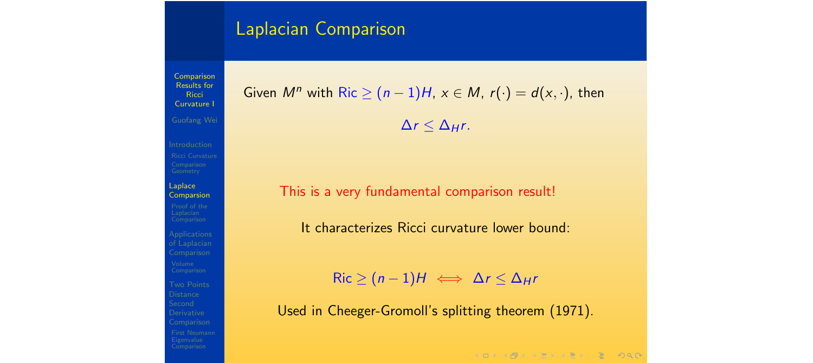Comparison Results for **Ricci** Curvature I Laplace Comparsion Comparison **Distance** Derivative

Given  $M^n$  with Ric  $\geq (n-1)H$ ,  $x \in M$ ,  $r(\cdot) = d(x, \cdot)$ , then

 $\Delta r \leq \Delta_H r$ .

This is a very fundamental comparison result!

It characterizes Ricci curvature lower bound:

 $Ric > (n-1)H \iff \Delta r < \Delta_H r$ 

Used in Cheeger-Gromoll's splitting theorem (1971).

**KORKAPRA ERA ER SO AO**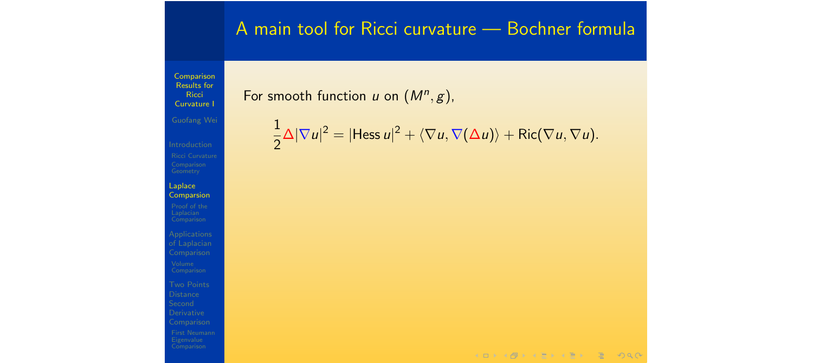# A main tool for Ricci curvature — Bochner formula

Comparison Results for **Ricci** Curvature I

#### For smooth function *u* on  $(M^n, g)$ ,

1  $\frac{1}{2}\Delta |\nabla u|^2 = |$ Hess  $u|^2 + \langle \nabla u, \nabla(\Delta u) \rangle +$  Ric $(\nabla u, \nabla u)$ .

of Laplacian Comparison **Distance** Derivative Comparison

Applications

Laplace Comparsion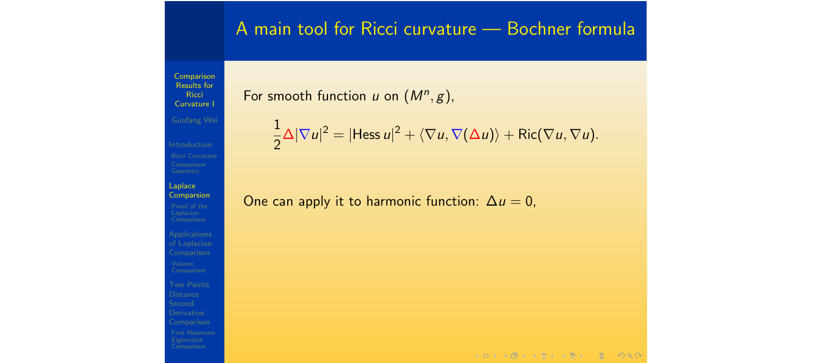# A main tool for Ricci curvature — Bochner formula

Comparison Results for **Ricci** Curvature I

#### For smooth function *u* on  $(M^n, g)$ ,

$$
\frac{1}{2}\Delta|\nabla u|^2=|\mathsf{Hess}\,u|^2+\langle\nabla u,\nabla(\Delta u)\rangle+\mathsf{Ric}(\nabla u,\nabla u).
$$

One can apply it to harmonic function:  $\Delta u = 0$ ,

of Laplacian Comparison **Distance** Derivative Comparison

Laplace Comparsion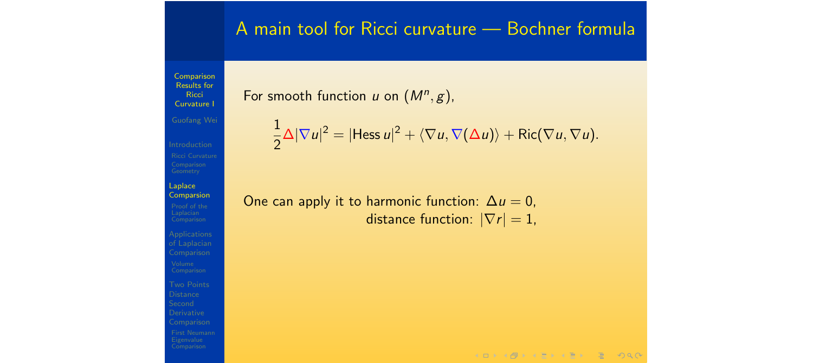#### A main tool for Ricci curvature — Bochner formula

**Comparison** Results for **Ricci** Curvature I

Laplace Comparsion

of Laplacian Comparison **Distance** Derivative

#### For smooth function *u* on  $(M^n, g)$ ,

$$
\frac{1}{2}\Delta|\nabla u|^2=|\text{Hess }u|^2+\langle\nabla u,\nabla(\Delta u)\rangle+\text{Ric}(\nabla u,\nabla u).
$$

One can apply it to harmonic function:  $\Delta u = 0$ , distance function:  $|\nabla r| = 1$ ,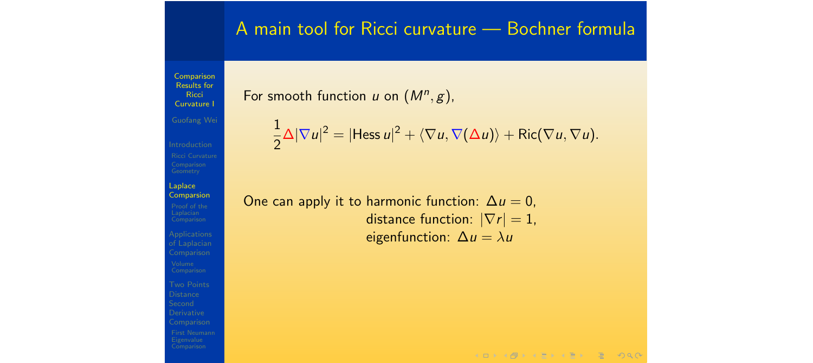Laplace Comparsion

of Laplacian **Distance** Derivative

#### For smooth function *u* on  $(M^n, g)$ ,

$$
\frac{1}{2}\Delta|\nabla u|^2=|\mathsf{Hess}\,u|^2+\langle\nabla u,\nabla(\Delta u)\rangle+\mathsf{Ric}(\nabla u,\nabla u).
$$

A main tool for Ricci curvature — Bochner formula

One can apply it to harmonic function:  $\Delta u = 0$ , distance function:  $|\nabla r| = 1$ , eigenfunction:  $\Delta u = \lambda u$ 

 $A \Box B + A \Box B + A \Box B + A \Box B + A \Box B + A \Box B$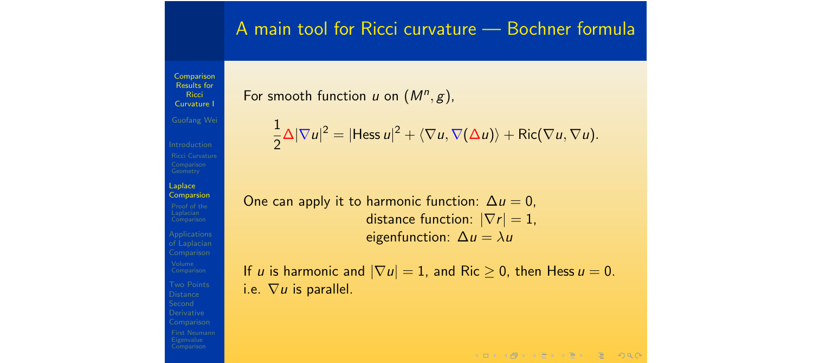Comparison Results for **Ricci** Curvature I Guofang Wei Laplace Comparsion Applications Comparison **Distance** Derivative Comparison

# A main tool for Ricci curvature — Bochner formula

For smooth function *u* on  $(M^n, g)$ ,

$$
\frac{1}{2}\Delta|\nabla u|^2=|\mathsf{Hess}\,u|^2+\langle\nabla u,\nabla(\Delta u)\rangle+\mathsf{Ric}(\nabla u,\nabla u).
$$

One can apply it to harmonic function:  $\Delta u = 0$ , distance function:  $|\nabla r| = 1$ , eigenfunction:  $\Delta u = \lambda u$ 

If *u* is harmonic and  $|\nabla u| = 1$ , and Ric  $\geq 0$ , then Hess  $u = 0$ . i.e.  $\nabla u$  is parallel.

 $A \Box B + A \Box B + A \Box B + A \Box B + A \Box B + A \Box B$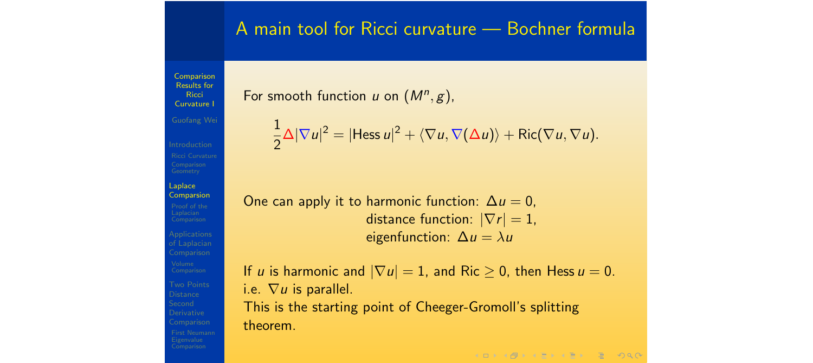Comparison Results for **Ricci** Curvature I Guofang Wei Laplace Comparsion Applications Derivative

#### For smooth function *u* on  $(M^n, g)$ ,

$$
\frac{1}{2}\Delta|\nabla u|^2=|\mathsf{Hess}\,u|^2+\langle\nabla u,\nabla(\Delta u)\rangle+\mathsf{Ric}(\nabla u,\nabla u).
$$

A main tool for Ricci curvature — Bochner formula

One can apply it to harmonic function:  $\Delta u = 0$ , distance function:  $|\nabla r| = 1$ , eigenfunction:  $\Delta u = \lambda u$ 

If *u* is harmonic and  $|\nabla u| = 1$ , and Ric  $\geq 0$ , then Hess  $u = 0$ . i.e.  $\nabla u$  is parallel. This is the starting point of Cheeger-Gromoll's splitting theorem.

**KOD KAD KED KED E VAR**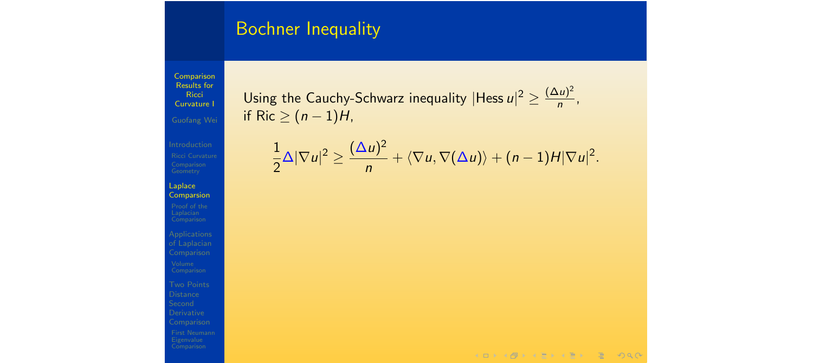## Bochner Inequality

Comparison Results for **Ricci** Curvature I

Laplace Comparsion

of Laplacian Comparison

Comparison

Using the Cauchy-Schwarz inequality  $|H$ ess  $u|^2 \geq \frac{(\Delta u)^2}{n}$ , if Ric  $\geq (n - 1)H$ ,

$$
\frac{1}{2}\Delta|\nabla u|^2\geq \frac{(\Delta u)^2}{n}+\langle \nabla u,\nabla(\Delta u)\rangle+(n-1)H|\nabla u|^2.
$$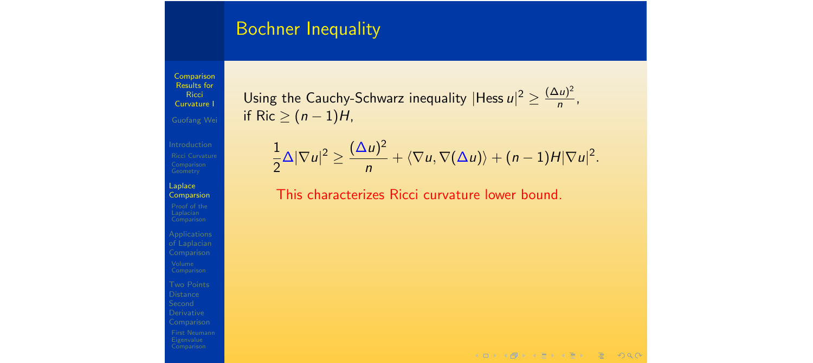#### Bochner Inequality

Comparison Results for **Ricci** Curvature I

Laplace Comparsion

of Laplacian Comparison Derivative Comparison

Using the Cauchy-Schwarz inequality  $|H$ ess  $u|^2 \geq \frac{(\Delta u)^2}{n}$ , if Ric  $\geq (n - 1)H$ ,

$$
\frac{1}{2}\Delta|\nabla u|^2\geq \frac{(\Delta u)^2}{n}+\langle \nabla u,\nabla(\Delta u)\rangle+(n-1)H|\nabla u|^2.
$$

This characterizes Ricci curvature lower bound.

 $A \Box B + A \Box B + A \Box B + A \Box B + A \Box B + A \Box B$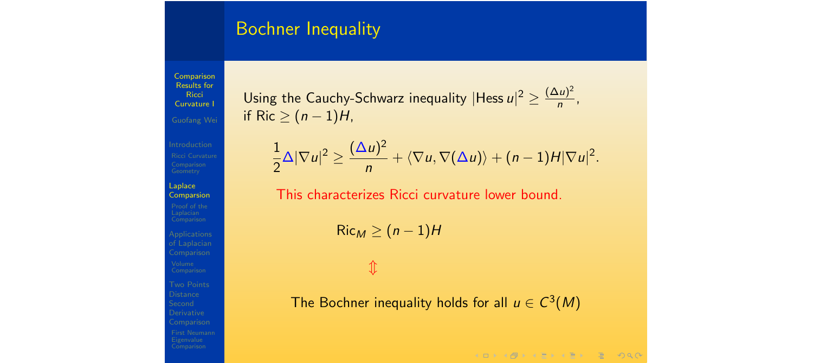#### Bochner Inequality

Comparison Results for **Ricci** Curvature I Guofang Wei

Laplace Comparsion

of Laplacian Comparison **Distance** Derivative Comparison

Using the Cauchy-Schwarz inequality  $|H$ ess  $u|^2 \geq \frac{(\Delta u)^2}{n}$ , if Ric  $\geq (n - 1)H$ ,

$$
\frac{1}{2}\Delta|\nabla u|^2\geq \frac{(\Delta u)^2}{n}+\langle \nabla u,\nabla(\Delta u)\rangle+(n-1)H|\nabla u|^2.
$$

This characterizes Ricci curvature lower bound.

 $Ric_M \geq (n-1)H$ 

 $\hat{\mathbb{I}}$ 

The Bochner inequality holds for all  $u \in C^3(M)$ 

 $A \Box B = 4 \Box B + 4 \Box B + 4 \Box B + 4 \Box B + 4 \Box C$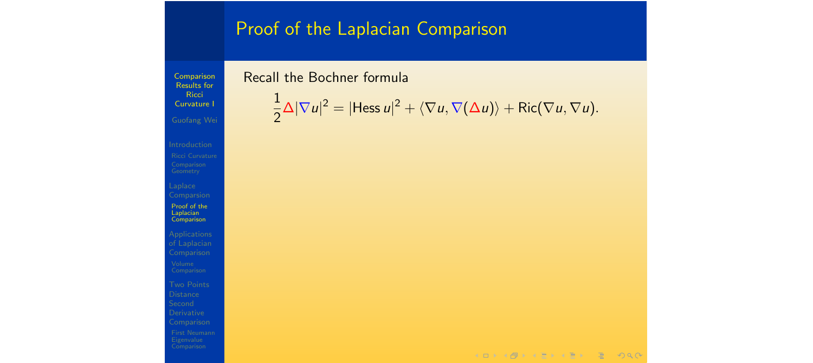# Proof of the Laplacian Comparison

Comparison Results for **Ricci** Curvature I

Laplace Comparsion Proof of the Laplacian Comparison

of Laplacian Comparison

Comparison

#### Recall the Bochner formula

$$
\frac{1}{2}\Delta|\nabla u|^2=|\mathsf{Hess}\,u|^2+\langle\nabla u,\nabla(\Delta u)\rangle+\mathsf{Ric}(\nabla u,\nabla u).
$$

 $A \cup B \cup A \cup B \cup A \cup B \cup A \cup B \cup B \cup B \cup A \cup C$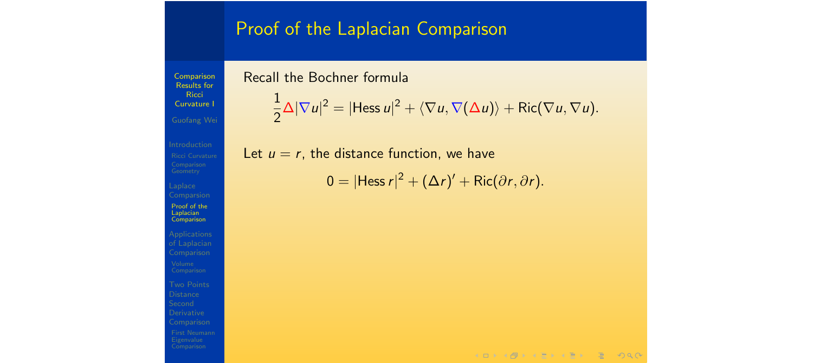#### Proof of the Laplacian Comparison

Comparison Results for **Ricci** Curvature I Geometry

Laplace **Comparsion** Proof of the Laplacian **Comparison** 

of Laplacian Comparison

Derivative Comparison

#### Recall the Bochner formula

$$
\frac{1}{2}\Delta|\nabla u|^2=|\text{Hess }u|^2+\langle\nabla u,\nabla(\Delta u)\rangle+\text{Ric}(\nabla u,\nabla u).
$$

Let  $u = r$ , the distance function, we have

$$
0 = |\text{Hess } r|^2 + (\Delta r)' + \text{Ric}(\partial r, \partial r).
$$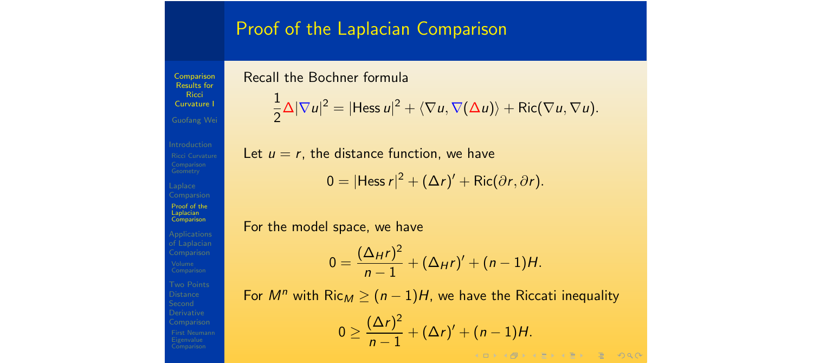#### Proof of the Laplacian Comparison

Comparison Results for **Ricci** Curvature I Guofang Wei Proof of the Laplacian **Comparison** of Laplacian

# **Distance** Derivative

#### Recall the Bochner formula

$$
\frac{1}{2}\Delta|\nabla u|^2=|\text{Hess }u|^2+\langle\nabla u,\nabla(\Delta u)\rangle+\text{Ric}(\nabla u,\nabla u).
$$

Let  $u = r$ , the distance function, we have  $0 = |H \text{ess } r|^2 + (\Delta r)' + \text{Ric}(\partial r, \partial r).$ 

For the model space, we have

$$
0 = \frac{(\Delta_{H}r)^{2}}{n-1} + (\Delta_{H}r)' + (n-1)H.
$$

For  $M^n$  with  $Ric_M \ge (n-1)H$ , we have the Riccati inequality

$$
0 \geq \frac{(\Delta r)^2}{n-1} + (\Delta r)' + (n-1)H.
$$

 $2Q$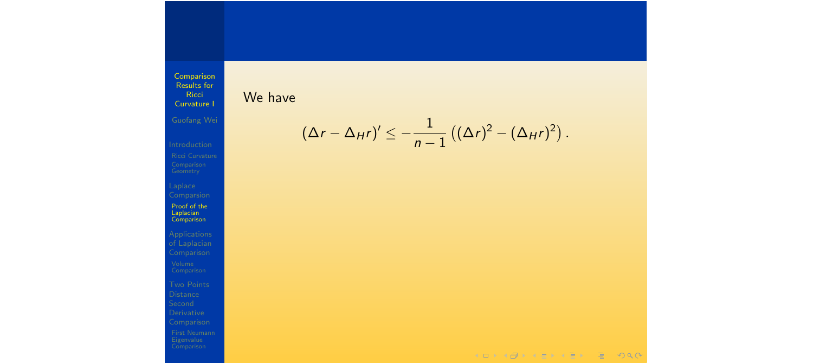Results for Curvature I We have

Comparison

Ricci

$$
(\Delta r - \Delta_H r)' \leq -\frac{1}{n-1} ((\Delta r)^2 - (\Delta_H r)^2).
$$

Proof of the

Laplacian Comparison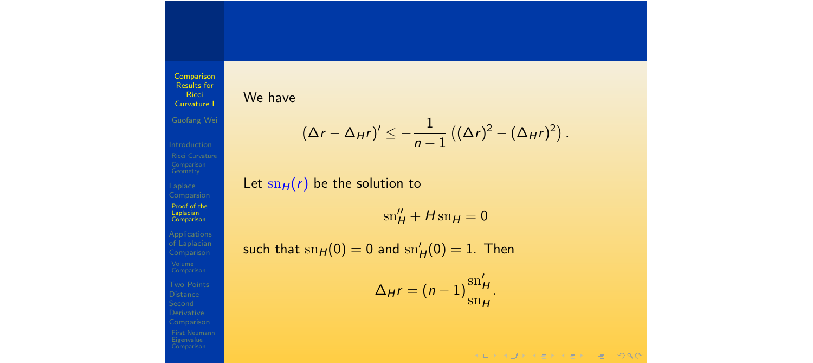We have

**Ricci** Curvature I

Laplace **Comparsion** Proof of the Laplacian Comparison of Laplacian Comparison

Comparison Results for

$$
(\Delta r - \Delta_H r)' \leq -\frac{1}{n-1} ((\Delta r)^2 - (\Delta_H r)^2).
$$

Let  $\text{sn}_H(r)$  be the solution to

 $\sin\frac{\theta}{H} + H \sin H = 0$ 

such that  $\mathrm{sn}_H(0) = 0$  and  $\mathrm{sn}_H'(0) = 1$ . Then

$$
\Delta_H r = (n-1) \frac{\text{sn}'_H}{\text{sn}_H}
$$

*.*

 $A \cap B \rightarrow A \cap B \rightarrow A \cap B \rightarrow A \cap B \rightarrow A \cap B$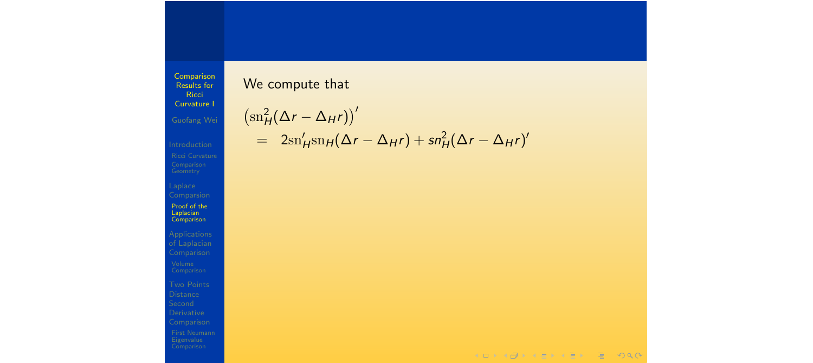Comparsion Proof of the Laplacian Comparison

#### We compute that

$$
\begin{aligned} \left(\mathrm{sn}_{H}^{2}(\Delta r - \Delta_{H}r)\right)^{\prime} \\ &= 2\mathrm{sn}_{H}^{\prime}\mathrm{sn}_{H}(\Delta r - \Delta_{H}r) + \mathrm{sn}_{H}^{2}(\Delta r - \Delta_{H}r)^{\prime} \end{aligned}
$$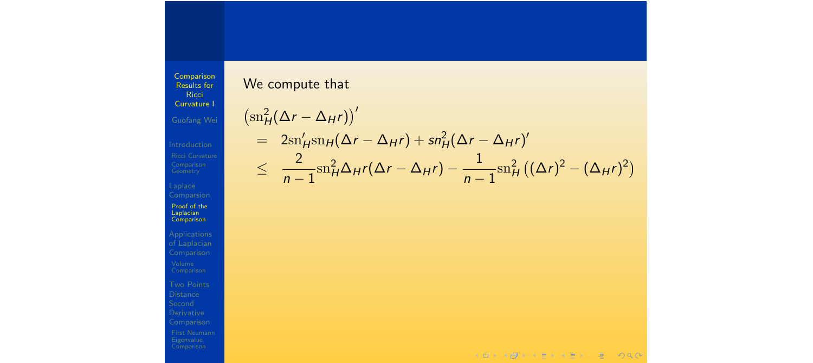We compute that

**Ricci** Curvature I Guofang Wei

Comparison Results for

Laplace Proof of the Laplacian Comparison

of Laplacian Comparison

**Distance** Derivative

 $\left(\text{sn}_{H}^{2}(\Delta r - \Delta_{H}r)\right)^{t}$  $= 2\text{sn}'_H\text{sn}_H(\Delta r - \Delta_H r) + \text{sn}^2_H(\Delta r - \Delta_H r)'$  $\leq$ 2  $n-1$  $\sin^2 H \Delta_H r(\Delta r - \Delta_H r) - \frac{1}{n-1}$  $\sin^2_H ((\Delta r)^2 - (\Delta_H r)^2)$ 

KORKAPEK (ER EL POQO)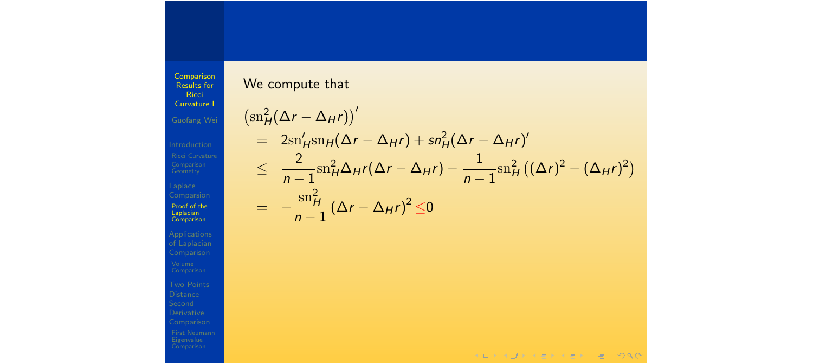We compute that

Ricci Curvature I

Comparison Results for

Comparsion Proof of the Laplacian Comparison

$$
\begin{aligned}\n\left(\operatorname{sn}_{H}^{2}(\Delta r - \Delta_{H}r)\right)' &= 2\operatorname{sn}_{H}'\operatorname{sn}_{H}(\Delta r - \Delta_{H}r) + \operatorname{sn}_{H}^{2}(\Delta r - \Delta_{H}r)'\n&\leq \frac{2}{n-1}\operatorname{sn}_{H}^{2}\Delta_{H}r(\Delta r - \Delta_{H}r) - \frac{1}{n-1}\operatorname{sn}_{H}^{2}\left((\Delta r)^{2} - (\Delta_{H}r)^{2}\right) \\
&= -\frac{\operatorname{sn}_{H}^{2}}{n-1}\left(\Delta r - \Delta_{H}r\right)^{2} \leq 0\n\end{aligned}
$$

KOKK@KKEKKEK E DAG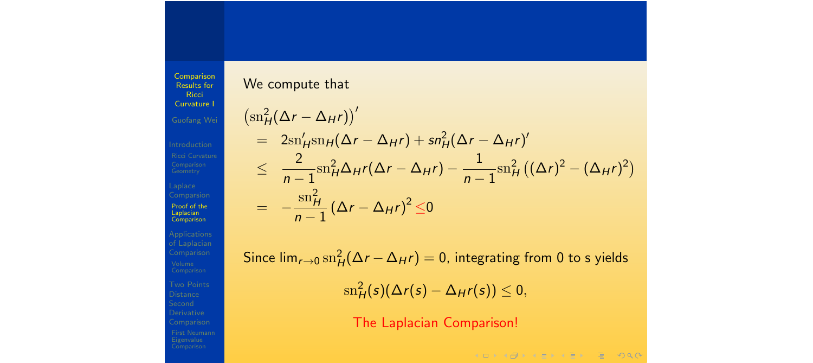We compute that

**Ricci** Curvature I

Comparison Results for

Laplace Proof of the Laplacian Comparison

of Laplacian Comparison Comparison Comparison

$$
\begin{aligned}\n\left(\operatorname{sn}_{H}^{2}(\Delta r - \Delta_{H}r)\right)^{t} &= 2\operatorname{sn}_{H}'\operatorname{sn}_{H}(\Delta r - \Delta_{H}r) + \operatorname{sn}_{H}^{2}(\Delta r - \Delta_{H}r)^{t} \\
&\leq \frac{2}{n-1}\operatorname{sn}_{H}^{2}\Delta_{H}r(\Delta r - \Delta_{H}r) - \frac{1}{n-1}\operatorname{sn}_{H}^{2}\left((\Delta r)^{2} - (\Delta_{H}r)^{2}\right) \\
&= -\frac{\operatorname{sn}_{H}^{2}}{n-1}\left(\Delta r - \Delta_{H}r\right)^{2} \leq 0\n\end{aligned}
$$

 $\mathsf{Since} \, \mathsf{lim}_{r \to 0} \, \mathsf{sn}_H^2(\Delta r - \Delta_H r) = 0$ , integrating from 0 to s yields  $\sin^2_H(s)(\Delta r(s) - \Delta_H r(s)) \leq 0,$ 

The Laplacian Comparison!

 $A \Box B = 4 \Box B + 4 \Box B + 4 \Box B + 4 \Box B + 4 \Box C$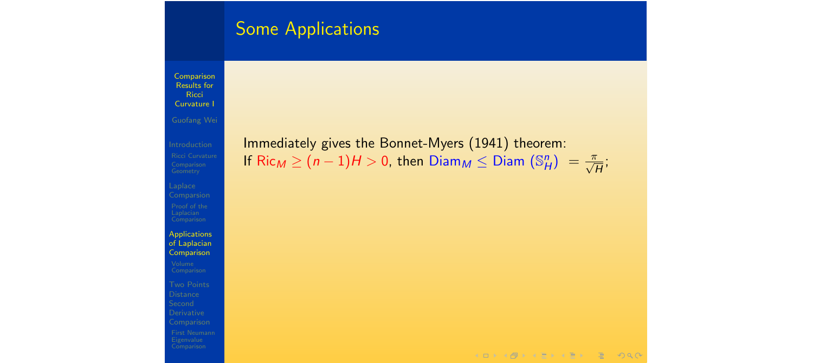Comparison Results for **Ricci** Curvature I

Laplace **Comparsion** 

Applications of Laplacian **Comparison** Derivative Comparison

Immediately gives the Bonnet-Myers (1941) theorem: If  $\mathsf{Ric}_M \geq (n-1)H > 0$ , then  $\mathsf{Diam}_M \leq \mathsf{Diam}\ (\mathbb{S}^n_H) = \frac{\pi}{\sqrt{H}};$ 

 $A \Box B = 4 \Box B + 4 \Box B + 4 \Box B + 4 \Box B + 4 \Box C$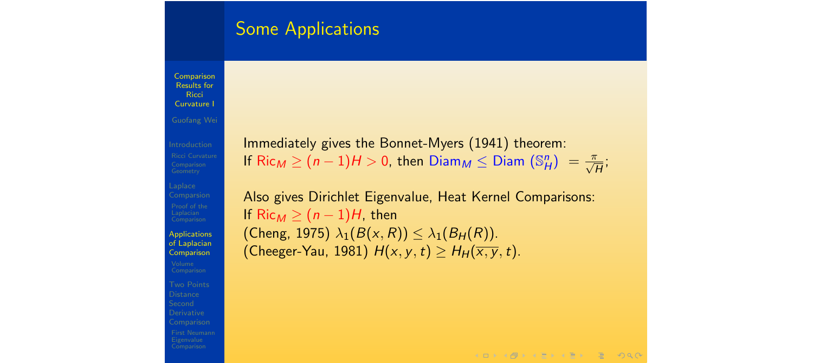Comparison Results for **Ricci** Curvature I Guofang Wei

Laplace Applications of Laplacian **Comparison Distance** Derivative

Immediately gives the Bonnet-Myers (1941) theorem: If  $\mathsf{Ric}_M \geq (n-1)H > 0$ , then  $\mathsf{Diam}_M \leq \mathsf{Diam}\ (\mathbb{S}^n_H) = \frac{\pi}{\sqrt{H}};$ 

Also gives Dirichlet Eigenvalue, Heat Kernel Comparisons: If  $Ric_M \geq (n-1)H$ , then  $(\textsf{Cheng}, 1975) \lambda_1(B(x,R)) \leq \lambda_1(B_H(R)).$ (Cheeger-Yau, 1981)  $H(x, y, t) \geq H_H(\overline{x, y}, t)$ .

 $A \Box B + A \Box B + A \Box B + A \Box B + A \Box C$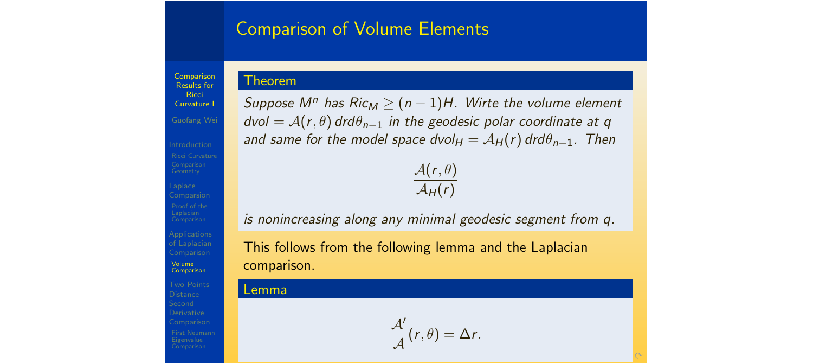#### Comparison of Volume Elements

**Comparison** Results for **Ricci** Curvature I

Applications Volume Comparison **Distance** Derivative Comparison

*Suppose*  $M^n$  *has Ric<sub>M</sub>*  $\geq$   $(n-1)H$ *. Wirte the volume element*  $dvol = A(r, \theta) dr d\theta_{n-1}$  *in the geodesic polar coordinate at q and same for the model space*  $dvol_H = A_H(r) dr d\theta_{n-1}$ *. Then* 

 $\mathcal{A}(r,\theta)$  $\mathcal{A}_{H}(r)$ 

*is nonincreasing along any minimal geodesic segment from q.*

This follows from the following lemma and the Laplacian comparison.

#### Lemma

Theorem

 $\frac{\mathcal{A}'}{\mathcal{A}}(r,\theta) = \Delta r.$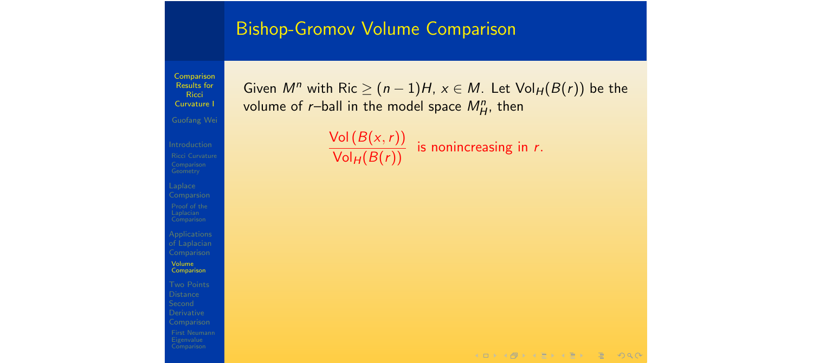#### Bishop-Gromov Volume Comparison

**Comparison** Results for Ricci Curvature I Laplace of Laplacian Volume **Comparison Distance** Derivative

Comparison

Given  $M^n$  with Ric  $\geq (n-1)H$ ,  $x \in M$ . Let  $Vol_H(B(r))$  be the volume of  $r$ –ball in the model space  $M_H^n$ , then

 $\frac{\text{Vol}(B(x,r))}{\text{Vol}_H(B(r))}$  is nonincreasing in *r*.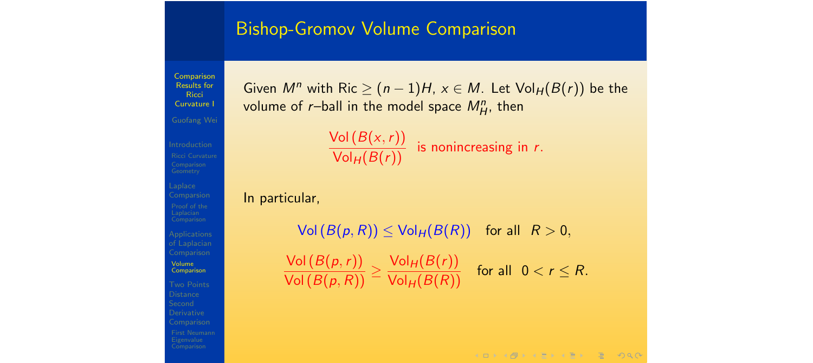#### Bishop-Gromov Volume Comparison

Comparison Results for **Ricci** Curvature I Guofang Wei

of Laplacian Volume Comparison **Distance** Derivative

Given  $M^n$  with Ric  $\geq (n-1)H$ ,  $x \in M$ . Let  $Vol_H(B(r))$  be the volume of  $r$ –ball in the model space  $M_H^n$ , then



In particular,

 $Vol(B(p, R)) \le Vol_H(B(R))$  for all  $R > 0$ , Vol (*B*(*p,r*))  $\sqrt{\text{Vol}(B(p,R))} \leq$  $\frac{\text{Vol}_H(B(r))}{\text{Vol}_H(B(R))}$  for all  $0 < r \leq R$ .

 $A \Box B + A \Box B + A \Box B + A \Box B + A \Box B + A \Box B$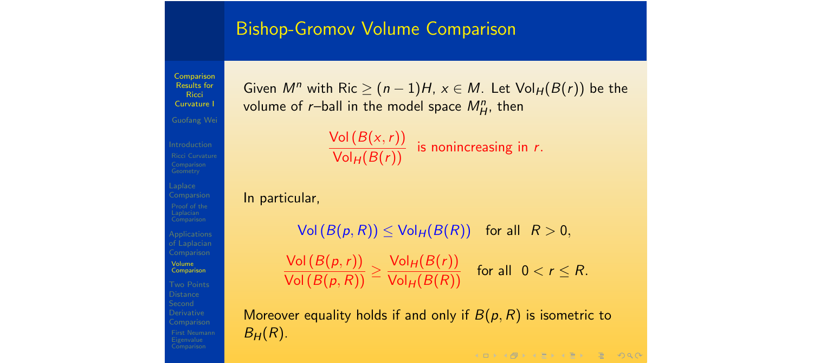#### Bishop-Gromov Volume Comparison

Comparison Results for **Ricci** Curvature I Guofang Wei Volume Comparison **Distance** Derivative Comparison

Given  $M^n$  with Ric  $\geq (n-1)H$ ,  $x \in M$ . Let  $Vol_H(B(r))$  be the volume of  $r$ –ball in the model space  $M_H^n$ , then

 $\frac{\text{Vol}(B(x,r))}{\text{Vol}_H(B(r))}$  is nonincreasing in *r*.

In particular,

 $Vol(B(p, R)) \le Vol_H(B(R))$  for all  $R > 0$ , Vol (*B*(*p,r*))  $\sqrt{\text{Vol}(B(p,R))} \leq$  $\frac{\text{Vol}_H(B(r))}{\text{Vol}_H(B(R))}$  for all  $0 < r \leq R$ .

Moreover equality holds if and only if  $B(p, R)$  is isometric to  $B_H(R)$ .

 $A \Box B = 4 \Box B + 4 \Box B + 4 \Box B + 4 \Box B + 4 \Box C$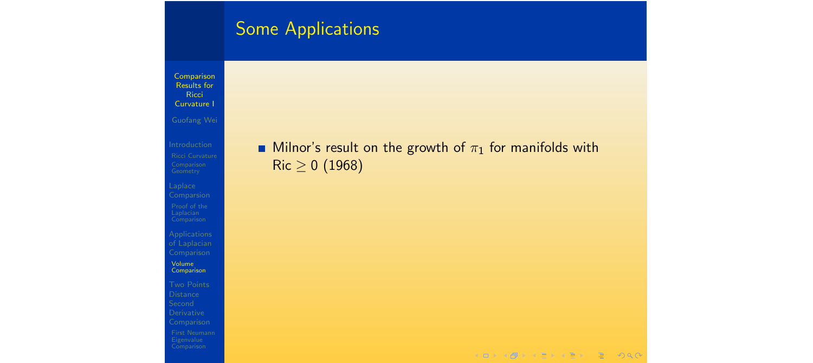Comparison Results for **Ricci** Curvature I

Geometry

Laplace Comparsion

of Laplacian Comparison

Volume Comparison

Comparison

#### **Milnor's result on the growth of**  $\pi_1$  **for manifolds with**  $Ric \ge 0$  (1968)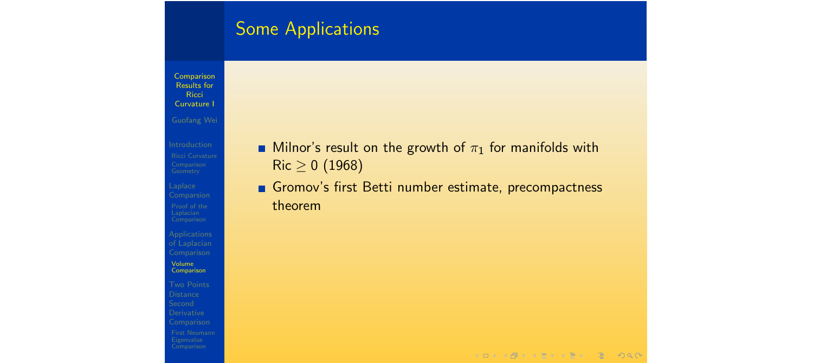**Comparison** Results for Ricci Curvature I

Laplace Comparsion

of Laplacian Comparison

Volume Comparison

**Distance** Derivative Comparison **Milnor's result on the growth of**  $\pi_1$  **for manifolds with**  $Ric \ge 0$  (1968)

Gromov's first Betti number estimate, precompactness theorem

 $A \Box B = 4 \Box B + 4 \Box B + 4 \Box B + 4 \Box B + 4 \Box C$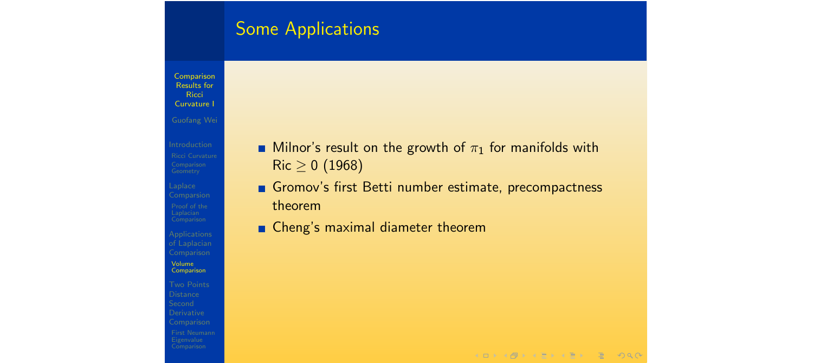**Comparison** Results for **Ricci** Curvature I

Laplace Comparsion

of Laplacian Comparison Volume Comparison

**Distance** Derivative Comparison

- **Milnor's result on the growth of**  $\pi_1$  **for manifolds with**  $Ric \ge 0$  (1968)
- Gromov's first Betti number estimate, precompactness theorem
- Cheng's maximal diameter theorem

 $A \Box B + A \Box B + A \Box B + A \Box B + A \Box B + A \Box B$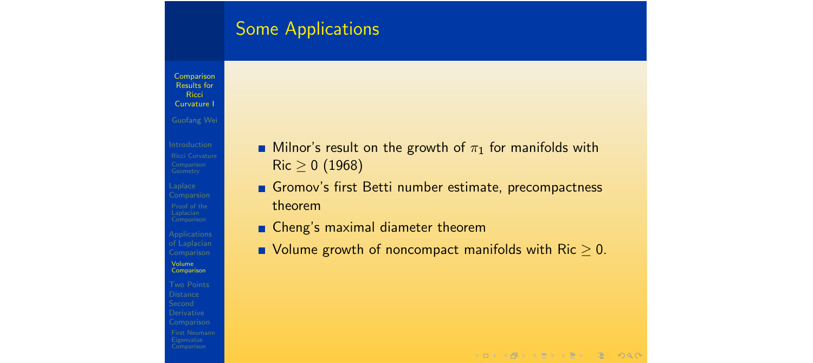**Comparison** Results for **Ricci** Curvature I Laplace of Laplacian Comparison Volume Comparison **Distance** Derivative Comparison

- **Milnor's result on the growth of**  $\pi_1$  **for manifolds with**  $Ric \ge 0$  (1968)
- Gromov's first Betti number estimate, precompactness theorem
- Cheng's maximal diameter theorem
- $\blacksquare$  Volume growth of noncompact manifolds with Ric  $> 0$ .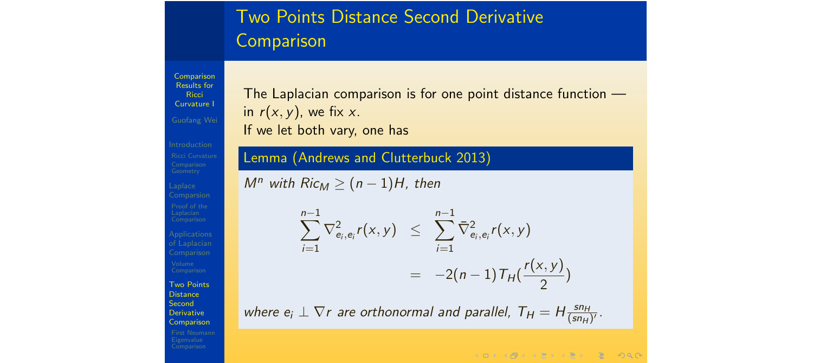# Two Points Distance Second Derivative **Comparison**

Comparison Results for **Ricci** Curvature I Comparsion Applications Two Points **Distance Second** 

Derivative Comparison

The Laplacian comparison is for one point distance function in  $r(x, y)$ , we fix x. If we let both vary, one has

Lemma (Andrews and Clutterbuck 2013)

*M*<sup>*n*</sup> *with Ric<sub>M</sub>*  $\geq$   $(n-1)H$ *, then* 

$$
\sum_{i=1}^{n-1} \nabla_{e_i, e_i}^2 r(x, y) \leq \sum_{i=1}^{n-1} \bar{\nabla}_{e_i, e_i}^2 r(x, y) \n= -2(n-1) \mathcal{T}_H(\frac{r(x, y)}{2})
$$

where  $e_i \perp \nabla r$  are orthonormal and parallel,  $T_H = H \frac{sn_H}{(sn_H)^r}$ .

**KOD KAD KED KED E VAR**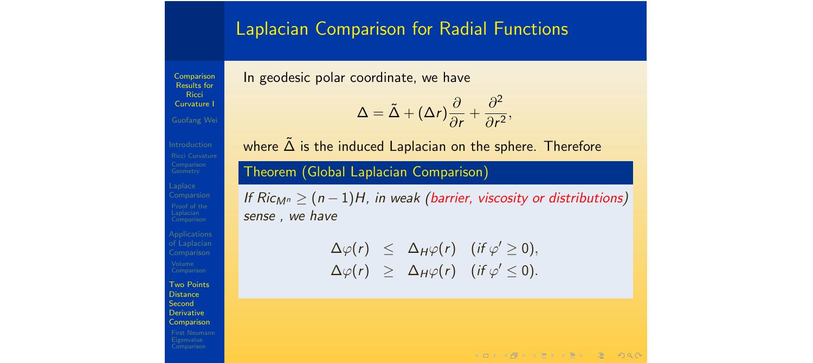#### Laplacian Comparison for Radial Functions

Comparison Results for **Ricci** Curvature I Guofang Wei In geodesic polar coordinate, we have

$$
\Delta = \tilde{\Delta} + (\Delta r) \frac{\partial}{\partial r} + \frac{\partial^2}{\partial r^2},
$$

Comparison Two Points **Distance Second** Derivative

Comparison

where  $\tilde{\Delta}$  is the induced Laplacian on the sphere. Therefore

Theorem (Global Laplacian Comparison)

*If*  $Ric_{M^n}$  *>*  $(n-1)H$ *, in weak (barrier, viscosity or distributions) sense , we have*

> $\Delta \varphi(r) \leq \Delta_H \varphi(r)$  (*if*  $\varphi' \geq 0$ )*,*  $\Delta \varphi(r)$  >  $\Delta_H \varphi(r)$  (*if*  $\varphi' < 0$ )*.*

> > $A \Box B + A \Box B + A \Box B + A \Box B + A \Box B + A \Box B$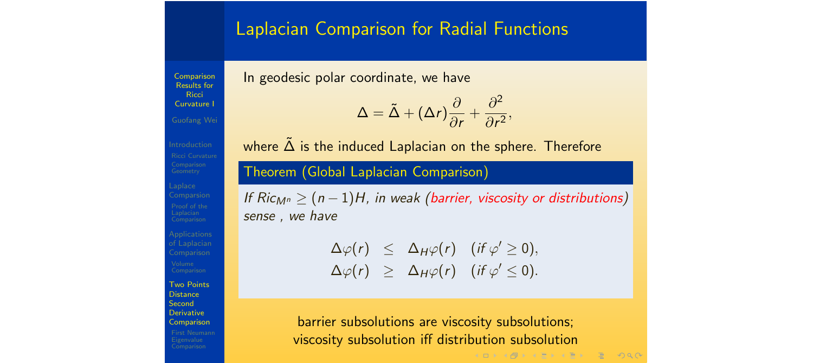#### Laplacian Comparison for Radial Functions

Comparison Results for **Ricci** Curvature I Guofang Wei In geodesic polar coordinate, we have

$$
\Delta = \tilde{\Delta} + (\Delta r) \frac{\partial}{\partial r} + \frac{\partial^2}{\partial r^2},
$$

Applications Two Points **Distance Second** Derivative Comparison

where  $\tilde{\Delta}$  is the induced Laplacian on the sphere. Therefore

Theorem (Global Laplacian Comparison)

*If*  $Ric_{M^n}$  *>*  $(n-1)H$ *, in weak (barrier, viscosity or distributions) sense , we have*

> $\Delta \varphi(r) \leq \Delta_H \varphi(r)$  (*if*  $\varphi' \geq 0$ )*,*  $\Delta \varphi(r) \geq \Delta_H \varphi(r)$  (*if*  $\varphi' \leq 0$ ).

barrier subsolutions are viscosity subsolutions; viscosity subsolution iff distribution subsolution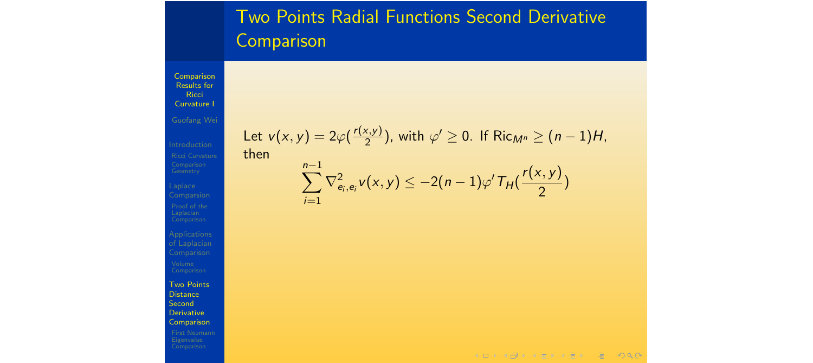# Two Points Radial Functions Second Derivative **Comparison**

Comparison Results for **Ricci** Curvature I

th

 $i=1$ 

Laplace

of Laplacian Comparison

Two Points **Distance Second** Derivative Comparison

Let 
$$
v(x, y) = 2\varphi(\frac{r(x, y)}{2})
$$
, with  $\varphi' \ge 0$ . If  $\text{Ric}_{M^n} \ge (n - 1)H$ ,  
then  

$$
\sum_{i=1}^{n-1} \nabla_{e_i, e_i}^2 v(x, y) \le -2(n - 1)\varphi' T_H(\frac{r(x, y)}{2})
$$

$$
4 \Box \rightarrow 4 \Box \rightarrow 4 \Xi \rightarrow 4 \Xi \rightarrow 2 \Xi \rightarrow 0 \rightarrow 0
$$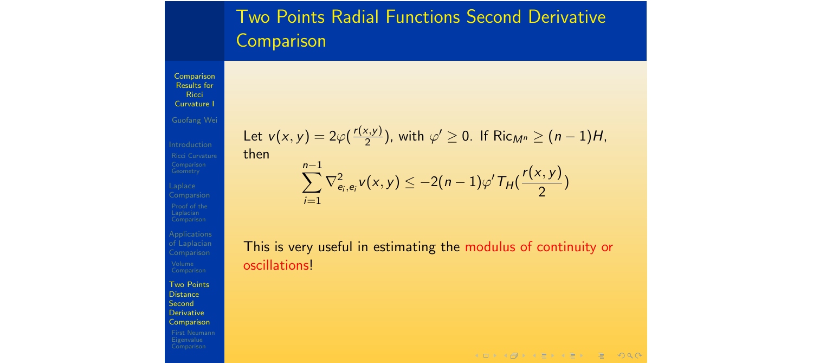# Two Points Radial Functions Second Derivative **Comparison**

Comparison Results for **Ricci** Curvature I

Laplace

of Laplacian Comparison Two Points **Distance Second** Derivative Comparison

Let 
$$
v(x, y) = 2\varphi(\frac{r(x, y)}{2})
$$
, with  $\varphi' \ge 0$ . If Ric<sub>*M*<sup>n</sup></sub>  $\ge (n - 1)H$ ,  
then  

$$
\sum_{i=1}^{n-1} \nabla_{e_i, e_i}^2 v(x, y) \le -2(n - 1)\varphi' T_H(\frac{r(x, y)}{2})
$$

This is very useful in estimating the modulus of continuity or oscillations!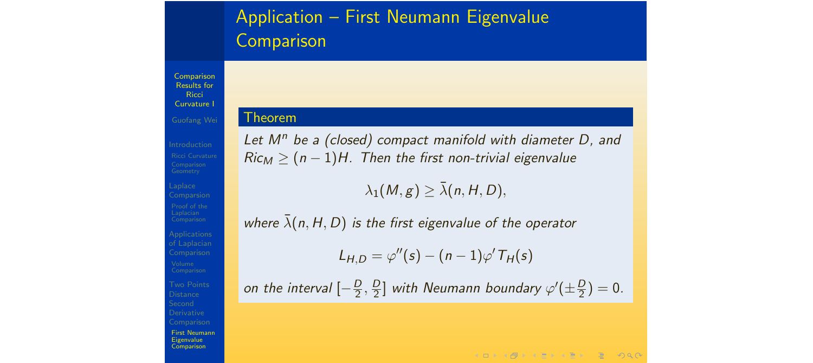# Application – First Neumann Eigenvalue **Comparison**

Comparison Results for **Ricci** Curvature I Guofang Wei

#### Theorem

Applications Comparison Distance First Neumann Eigenvalue Comparison

*Let M<sup>n</sup> be a (closed) compact manifold with diameter D, and*  $Ric<sub>M</sub> \geq (n-1)H$ . Then the first non-trivial eigenvalue

 $\lambda_1(M, g) \geq \overline{\lambda}(n, H, D)$ 

*where*  $\bar{\lambda}(n, H, D)$  *is the first eigenvalue of the operator* 

 $L_{H,D} = \varphi''(s) - (n-1)\varphi' T_H(s)$ 

*on the interval*  $\left[-\frac{D}{2}, \frac{D}{2}\right]$  *with Neumann boundary*  $\varphi'(\pm \frac{D}{2}) = 0$ *.* 

**KORKAPRA ERA ER SO AO**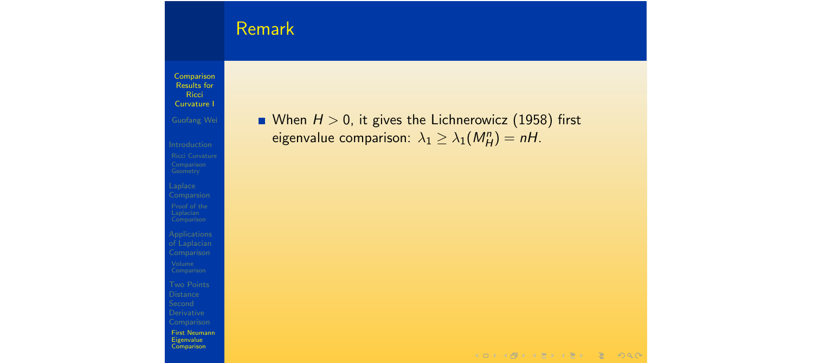# Remark

Comparison Results for Ricci Curvature I

Laplace **Comparsion** 

of Laplacian

Comparison

First Neumann Eigenvalue Comparison

**M** When  $H > 0$ , it gives the Lichnerowicz (1958) first eigenvalue comparison:  $\lambda_1 \geq \lambda_1(M_H^n) = nH$ .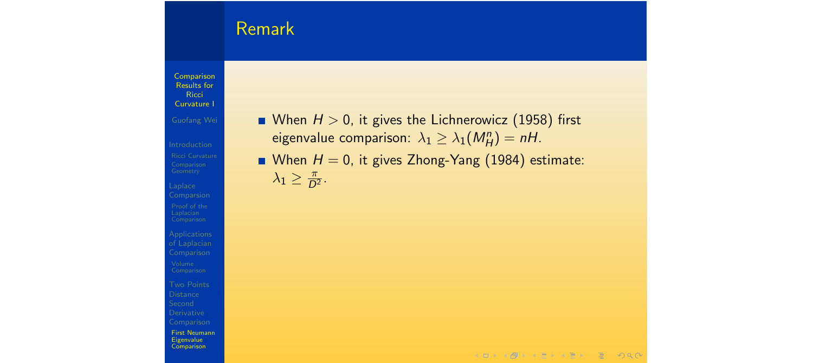# Remark

Comparison Results for **Ricci** Curvature I

Laplace Comparsion

of Laplacian Comparison **Distance** Derivative Comparison First Neumann Eigenvalue **Comparison** 

- When  $H > 0$ , it gives the Lichnerowicz (1958) first eigenvalue comparison:  $\lambda_1 \geq \lambda_1(M_H^n) = nH$ .
- **No M**  $H = 0$ , it gives Zhong-Yang (1984) estimate:  $\lambda_1 \geq \frac{\pi}{D^2}.$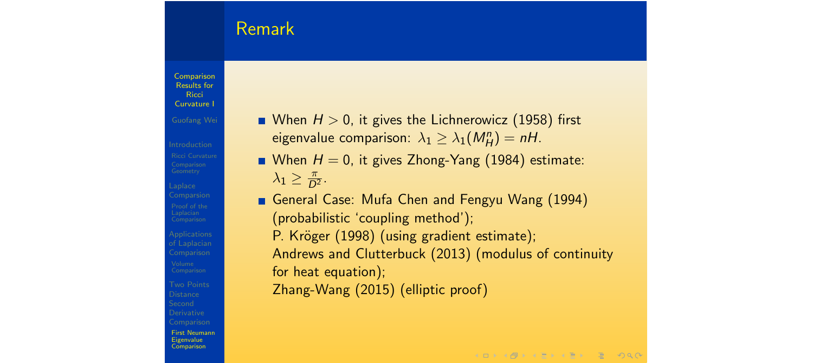# Remark

Comparison Results for **Ricci** Curvature I Guofang Wei Applications Comparison **Distance** Derivative First Neumann Eigenvalue **Comparison** 

- **Notable 1**  $\geq$  0, it gives the Lichnerowicz (1958) first eigenvalue comparison:  $\lambda_1 \geq \lambda_1(M_H^n) = nH$ .
- **Notable 11 = 0**, it gives Zhong-Yang (1984) estimate:  $\lambda_1 \geq \frac{\pi}{D^2}.$
- General Case: Mufa Chen and Fengyu Wang (1994) (probabilistic 'coupling method'); P. Kröger (1998) (using gradient estimate); Andrews and Clutterbuck (2013) (modulus of continuity for heat equation); Zhang-Wang (2015) (elliptic proof)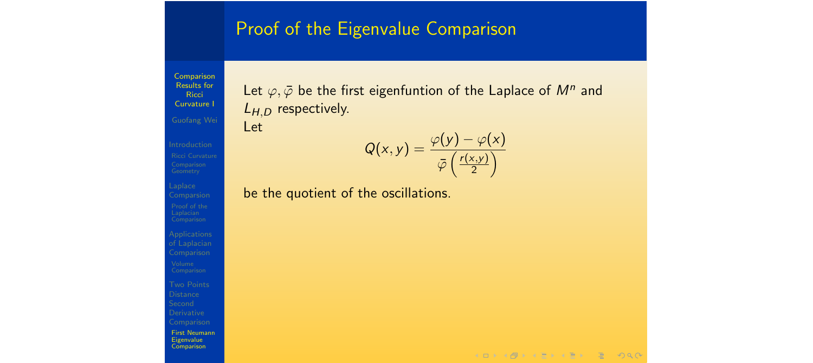#### Proof of the Eigenvalue Comparison

Comparison Results for **Ricci** Curvature I

Let  $\varphi, \bar{\varphi}$  be the first eigenfuntion of the Laplace of  $M^n$  and *LH,<sup>D</sup>* respectively. Let

$$
Q(x,y) = \frac{\varphi(y) - \varphi(x)}{\overline{\varphi}\left(\frac{r(x,y)}{2}\right)}
$$

be the quotient of the oscillations.

of Laplacian Comparison Derivative Comparison First Neumann Eigenvalue **Comparison** 

Laplace **Comparsion** 

 $A \Box B + A \Box B + A \Box B + A \Box B + A \Box B + A \Box B$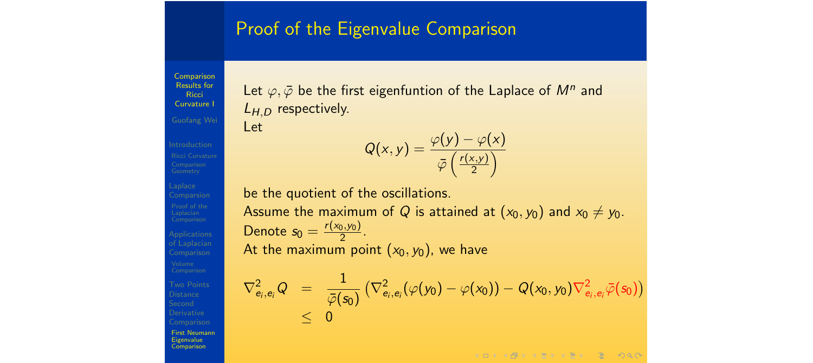### Proof of the Eigenvalue Comparison

Comparison Results for **Ricci** Curvature I Guofang Wei Comparison **Distance** Derivative First Neumann Eigenvalue **Comparison** 

Let  $\varphi, \bar{\varphi}$  be the first eigenfuntion of the Laplace of  $M^n$  and *LH,<sup>D</sup>* respectively.

$$
\mathsf{Let}
$$

be the quotient of the oscillations. Assume the maximum of *Q* is attained at  $(x_0, y_0)$  and  $x_0 \neq y_0$ . Denote  $s_0 = \frac{r(x_0, y_0)}{2}$ . At the maximum point  $(x_0, y_0)$ , we have

 $Q(x, y) = \frac{\varphi(y) - \varphi(x)}{(x)}$ 

 $\bar{\varphi}$   $\left(\frac{r(x,y)}{2}\right)$ 2  $\overline{ }$ 

$$
\begin{array}{lcl} \nabla^2_{e_i,e_i}Q & = & \displaystyle \frac{1}{\bar{\varphi}(s_0)}\left(\nabla^2_{e_i,e_i}(\varphi(y_0)-\varphi(x_0))-Q(x_0,y_0)\nabla^2_{e_i,e_i}\bar{\varphi}(s_0)\right) \\ & \leq & 0 \end{array}
$$

KORKAR KERKER E MAA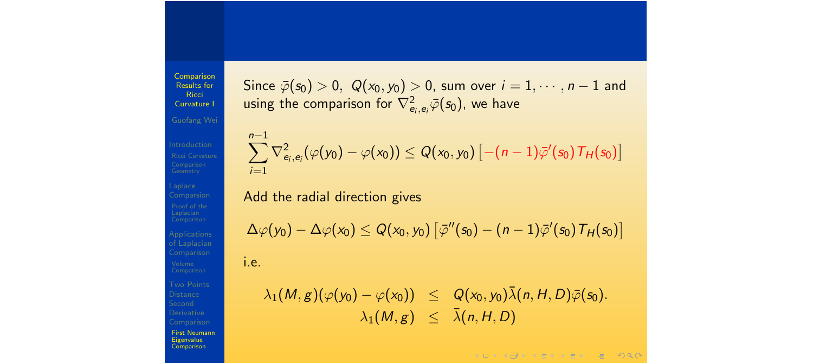Comparison Results for **Ricci** Curvature I Guofang Wei Comparison **Distance** Derivative First Neumann Eigenvalue **Comparison** 

X*n*1

Since  $\overline{\varphi}(s_0) > 0$ ,  $Q(x_0, y_0) > 0$ , sum over  $i = 1, \dots, n-1$  and using the comparison for  $\nabla^2_{e_i,e_i}\bar{\varphi}(s_0)$ , we have

$$
\sum_{i=1}^{n-1} \nabla_{e_i,e_i}^2 (\varphi(y_0) - \varphi(x_0)) \leq Q(x_0,y_0) \left[ -(n-1)\bar{\varphi}'(s_0) \, \mathcal{T}_H(s_0) \right]
$$

Add the radial direction gives

$$
\Delta \varphi(y_0) - \Delta \varphi(x_0) \leq Q(x_0, y_0) \left[ \bar{\varphi}''(s_0) - (n-1) \bar{\varphi}'(s_0) \mathcal{T}_H(s_0) \right]
$$
  
i.e.

 $\lambda_1(M, g)(\varphi(y_0) - \varphi(x_0)) \leq Q(x_0, y_0)\bar{\lambda}(n, H, D)\bar{\varphi}(s_0).$  $\lambda_1(M, g) \leq \overline{\lambda}(n, H, D)$ 

 $A \Box B + 4 \Box B + 4 \Box B + 4 \Box B + 4 \Box B + 4 \Box C + 4 \Box C + 4 \Box C + 4 \Box C + 4 \Box C + 4 \Box C + 4 \Box C + 4 \Box C + 4 \Box C + 4 \Box C + 4 \Box C + 4 \Box C + 4 \Box C + 4 \Box C + 4 \Box C + 4 \Box C + 4 \Box C + 4 \Box C + 4 \Box C + 4 \Box C + 4 \Box C + 4 \Box C + 4 \Box C + 4 \Box C + 4 \Box C + 4 \Box C + 4 \Box C + 4 \Box C + 4 \Box C + 4 \Box C + 4 \Box C + 4 \Box C$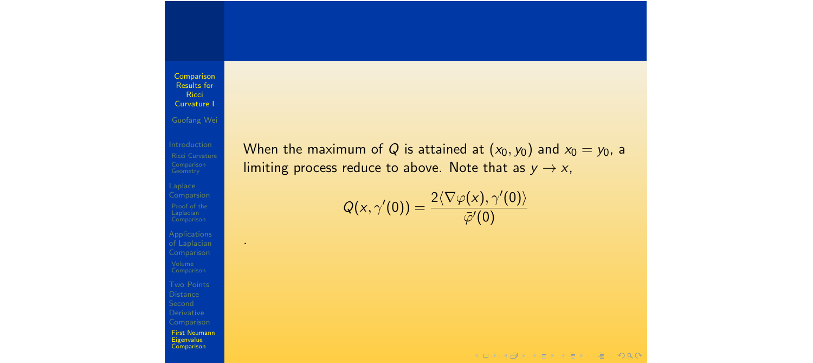Laplace Comparsion

.

of Laplacian Comparison First Neumann Eigenvalue **Comparison** 

When the maximum of *Q* is attained at  $(x_0, y_0)$  and  $x_0 = y_0$ , a limiting process reduce to above. Note that as  $y \rightarrow x$ ,

$$
Q(x,\gamma'(0))=\frac{2\langle\nabla\varphi(x),\gamma'(0)\rangle}{\bar\varphi'(0)}
$$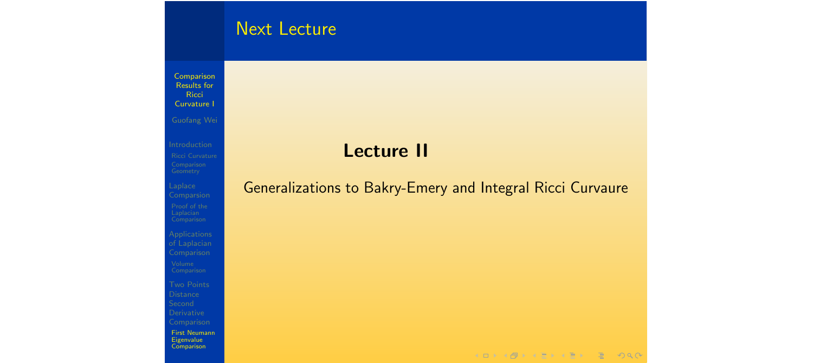# Next Lecture

Comparison Results for **Ricci** Curvature I

Laplace Comparsion

of Laplacian Comparison Comparison First Neumann Eigenvalue **Comparison** 

# Lecture II

#### Generalizations to Bakry-Emery and Integral Ricci Curvaure

KORK GRADER CERTE DAG